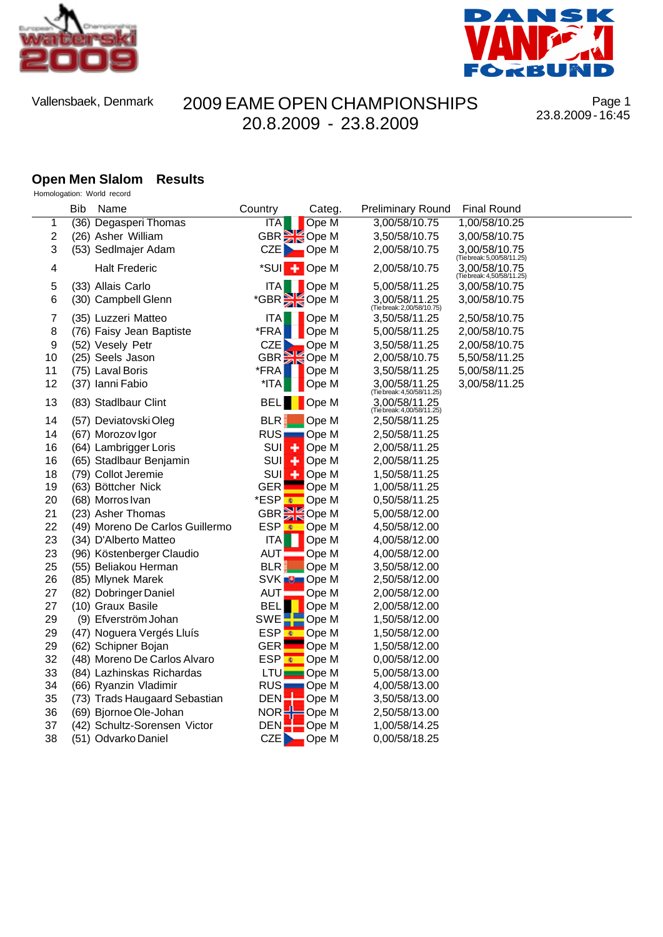



Page 1 23.8.2009 - 16:45

#### **Open Men Slalom Results** Homologation: World record

|            | <b>Bib</b> | Name                            | Country                | Categ.               | <b>Preliminary Round</b>                    | <b>Final Round</b>                          |
|------------|------------|---------------------------------|------------------------|----------------------|---------------------------------------------|---------------------------------------------|
| 1          |            | (36) Degasperi Thomas           | <b>ITA</b>             | Ope M                | 3,00/58/10.75                               | 1,00/58/10.25                               |
| $\sqrt{2}$ |            | (26) Asher William              | GBR <b>Ope M</b>       |                      | 3,50/58/10.75                               | 3,00/58/10.75                               |
| 3          |            | (53) Sedlmajer Adam             | CZE                    | $\Box$ Ope M         | 2,00/58/10.75                               | 3,00/58/10.75<br>(Tiebreak: 5,00/58/11.25)  |
| 4          |            | <b>Halt Frederic</b>            | *SUI + Ope M           |                      | 2,00/58/10.75                               | 3,00/58/10.75<br>(Tie break: 4,50/58/11.25) |
| 5          |            | (33) Allais Carlo               | <b>ITA</b>             | <b>D</b> Ope M       | 5,00/58/11.25                               | 3,00/58/10.75                               |
| 6          |            | (30) Campbell Glenn             | *GBR SOpe M            |                      | 3.00/58/11.25<br>(Tie break: 2,00/58/10.75) | 3,00/58/10.75                               |
| 7          |            | (35) Luzzeri Matteo             | ITA                    | Ope M                | 3,50/58/11.25                               | 2,50/58/10.75                               |
| 8          |            | (76) Faisy Jean Baptiste        | *FRA                   | Ope M                | 5,00/58/11.25                               | 2,00/58/10.75                               |
| 9          |            | (52) Vesely Petr                | <b>CZE</b>             | Ope M                | 3,50/58/11.25                               | 2,00/58/10.75                               |
| 10         |            | (25) Seels Jason                | GBR <sup>S</sup> Ope M |                      | 2,00/58/10.75                               | 5,50/58/11.25                               |
| 11         |            | (75) Laval Boris                | *FRA                   | Ope M                | 3,50/58/11.25                               | 5,00/58/11.25                               |
| 12         |            | (37) Ianni Fabio                | *ITA                   | Ope M                | 3,00/58/11.25<br>(Tie break: 4,50/58/11.25) | 3,00/58/11.25                               |
| 13         |            | (83) Stadlbaur Clint            | <b>BEL</b>             | Ope M                | 3.00/58/11.25<br>(Tie break: 4,00/58/11.25) |                                             |
| 14         |            | (57) Deviatovski Oleg           | <b>BLR</b>             | Ope M                | 2,50/58/11.25                               |                                             |
| 14         |            | (67) Morozov Igor               | RUS <sub>I</sub>       | $\blacksquare$ Ope M | 2,50/58/11.25                               |                                             |
| 16         |            | (64) Lambrigger Loris           | SUI<br>٠               | Ope M                | 2,00/58/11.25                               |                                             |
| 16         |            | (65) Stadlbaur Benjamin         | <b>SUI</b><br>٠        | Ope M                | 2,00/58/11.25                               |                                             |
| 18         |            | (79) Collot Jeremie             | <b>SUI</b><br>÷        | Ope M                | 1,50/58/11.25                               |                                             |
| 19         |            | (63) Böttcher Nick              | <b>GER</b>             | Ope M                | 1,00/58/11.25                               |                                             |
| 20         |            | (68) Morros Ivan                | *ESP <mark>s</mark>    | Ope M                | 0,50/58/11.25                               |                                             |
| 21         |            | (23) Asher Thomas               | GBR Ope M              |                      | 5,00/58/12.00                               |                                             |
| 22         |            | (49) Moreno De Carlos Guillermo | <b>ESP</b><br>ø        | Ope M                | 4,50/58/12.00                               |                                             |
| 23         |            | (34) D'Alberto Matteo           | ITA                    | Ope M                | 4,00/58/12.00                               |                                             |
| 23         |            | (96) Köstenberger Claudio       | <b>AUT</b>             | Ope M                | 4,00/58/12.00                               |                                             |
| 25         |            | (55) Beliakou Herman            | <b>BLR</b>             | Ope M                | 3,50/58/12.00                               |                                             |
| 26         |            | (85) Mlynek Marek               | SVK <b>D</b> Ope M     |                      | 2,50/58/12.00                               |                                             |
| 27         |            | (82) Dobringer Daniel           | <b>AUT</b>             | Ope M                | 2,00/58/12.00                               |                                             |
| 27         |            | (10) Graux Basile               | <b>BEL</b>             | Ope M                | 2,00/58/12.00                               |                                             |
| 29         |            | (9) Efverström Johan            | SWE                    | Ope M                | 1,50/58/12.00                               |                                             |
| 29         |            | (47) Noguera Vergés Lluís       | <b>ESP</b><br>×        | Ope M                | 1,50/58/12.00                               |                                             |
| 29         |            | (62) Schipner Bojan             | <b>GER</b>             | Ope M                | 1,50/58/12.00                               |                                             |
| 32         |            | (48) Moreno De Carlos Alvaro    | ESP <br>×              | Ope M                | 0,00/58/12.00                               |                                             |
| 33         |            | (84) Lazhinskas Richardas       | <b>LTU</b>             | Ope M                | 5,00/58/13.00                               |                                             |
| 34         |            | (66) Ryanzin Vladimir           | <b>RUS</b>             | $\Box$ Ope M         | 4,00/58/13.00                               |                                             |
| 35         |            | (73) Trads Haugaard Sebastian   | DEN <sup>1</sup>       | Ope M                | 3,50/58/13.00                               |                                             |
| 36         |            | (69) Bjornoe Ole-Johan          | NOR                    | $\blacksquare$ Ope M | 2,50/58/13.00                               |                                             |
| 37         |            | (42) Schultz-Sorensen Victor    | DEN                    | Ope M                | 1,00/58/14.25                               |                                             |
| 38         |            | (51) Odvarko Daniel             | <b>CZE</b>             | Ope M                | 0,00/58/18.25                               |                                             |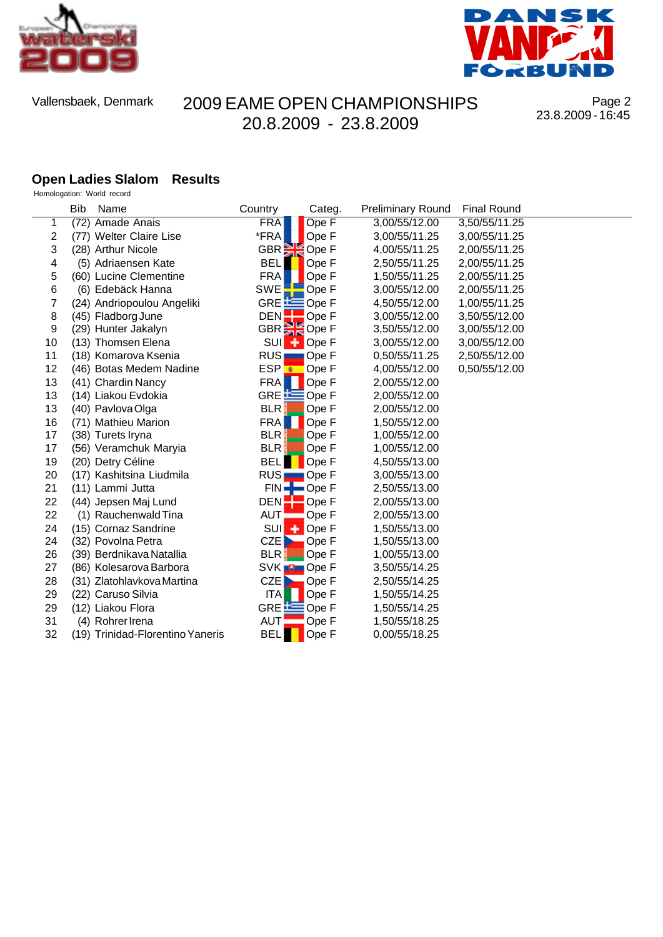



Page 2 23.8.2009 - 16:45

#### **Open Ladies Slalom Results**

| Homologation: World record |  |
|----------------------------|--|
|----------------------------|--|

|    | <b>Bib</b> | Name                             | Country                | Categ.               | <b>Preliminary Round</b> | <b>Final Round</b> |
|----|------------|----------------------------------|------------------------|----------------------|--------------------------|--------------------|
| 1  |            | (72) Amade Anais                 | <b>FRA</b>             | Ope F                | 3,00/55/12.00            | 3,50/55/11.25      |
| 2  |            | (77) Welter Claire Lise          | *FRA                   | Ope F                | 3,00/55/11.25            | 3,00/55/11.25      |
| 3  |            | (28) Arthur Nicole               | GBR <sup>S</sup> Ope F |                      | 4,00/55/11.25            | 2,00/55/11.25      |
| 4  |            | (5) Adriaensen Kate              | <b>BEL</b>             | Ope F                | 2,50/55/11.25            | 2,00/55/11.25      |
| 5  |            | (60) Lucine Clementine           | <b>FRA</b>             | Ope F                | 1,50/55/11.25            | 2,00/55/11.25      |
| 6  |            | (6) Edebäck Hanna                | SWE                    | Ope F                | 3,00/55/12.00            | 2,00/55/11.25      |
| 7  |            | (24) Andriopoulou Angeliki       | GRE $\equiv$           | Ope F                | 4,50/55/12.00            | 1,00/55/11.25      |
| 8  |            | (45) Fladborg June               | DEN                    | $\blacksquare$ Ope F | 3,00/55/12.00            | 3,50/55/12.00      |
| 9  |            | (29) Hunter Jakalyn              | GBR <sup>S</sup> Ope F |                      | 3,50/55/12.00            | 3,00/55/12.00      |
| 10 |            | (13) Thomsen Elena               | <b>SUI</b>             | $\leftarrow$ Ope F   | 3,00/55/12.00            | 3,00/55/12.00      |
| 11 |            | (18) Komarova Ksenia             | RUS <sub>I</sub>       | ─ Ope F              | 0,50/55/11.25            | 2,50/55/12.00      |
| 12 |            | (46) Botas Medem Nadine          | ESP <mark>⊛</mark>     | $\Box$ Ope F         | 4,00/55/12.00            | 0,50/55/12.00      |
| 13 |            | (41) Chardin Nancy               | <b>FRA</b>             | Ope F                | 2,00/55/12.00            |                    |
| 13 |            | (14) Liakou Evdokia              | GRE EOpe F             |                      | 2,00/55/12.00            |                    |
| 13 |            | (40) Pavlova Olga                | <b>BLR</b>             | Ope F                | 2,00/55/12.00            |                    |
| 16 |            | (71) Mathieu Marion              | <b>FRA</b>             | Ope F                | 1,50/55/12.00            |                    |
| 17 |            | (38) Turets Iryna                | BLR.                   | Ope F                | 1,00/55/12.00            |                    |
| 17 |            | (56) Veramchuk Maryia            | <b>BLR</b>             | Ope F                | 1,00/55/12.00            |                    |
| 19 |            | (20) Detry Céline                | <b>BEL</b>             | Ope F                | 4,50/55/13.00            |                    |
| 20 |            | (17) Kashitsina Liudmila         | RUS Ope F              |                      | 3,00/55/13.00            |                    |
| 21 |            | (11) Lammi Jutta                 | $FIN =$                | ■Ope F               | 2,50/55/13.00            |                    |
| 22 |            | (44) Jepsen Maj Lund             | <b>DEN</b>             | Ope F                | 2,00/55/13.00            |                    |
| 22 |            | (1) Rauchenwald Tina             | <b>AUT</b>             | Ope F                | 2,00/55/13.00            |                    |
| 24 |            | (15) Cornaz Sandrine             | <b>SUI</b>             | $\leftarrow$ Ope F   | 1,50/55/13.00            |                    |
| 24 |            | (32) Povolna Petra               | CZE                    | Ope F                | 1,50/55/13.00            |                    |
| 26 |            | (39) Berdnikava Natallia         | <b>BLR</b>             | Ope F                | 1,00/55/13.00            |                    |
| 27 |            | (86) Kolesarova Barbora          | SVK <b>D</b> Ope F     |                      | 3,50/55/14.25            |                    |
| 28 |            | (31) Zlatohlavkova Martina       | CZE<br>n.              | Ope F                | 2,50/55/14.25            |                    |
| 29 |            | (22) Caruso Silvia               | ITA                    | Ope F                | 1,50/55/14.25            |                    |
| 29 |            | (12) Liakou Flora                | GRE $E$                | Ope F                | 1,50/55/14.25            |                    |
| 31 |            | (4) Rohrer Irena                 | AUT                    | Ope F                | 1,50/55/18.25            |                    |
| 32 |            | (19) Trinidad-Florentino Yaneris | <b>BEL</b>             | Ope F                | 0,00/55/18.25            |                    |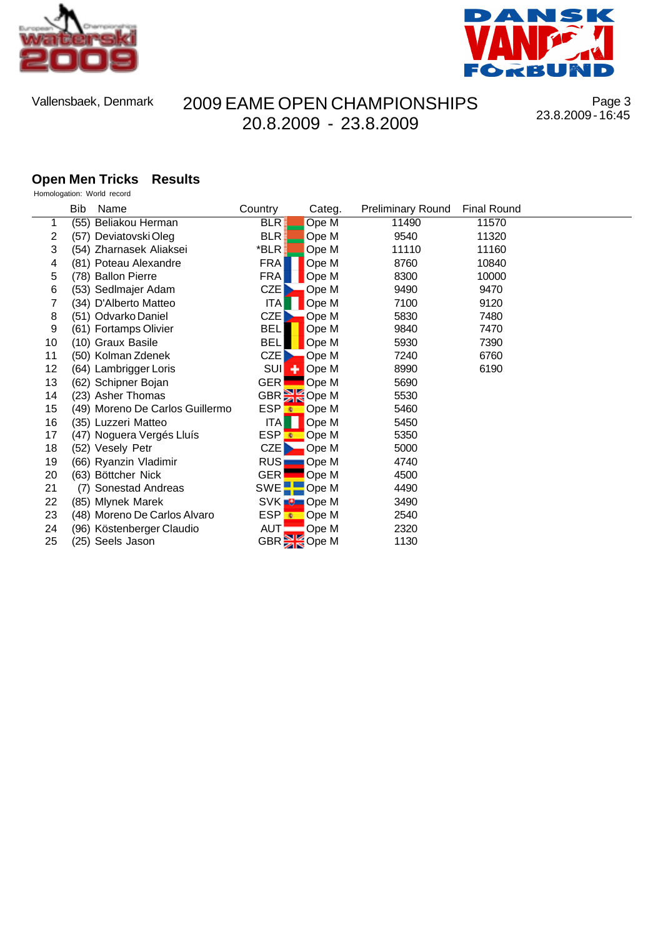



Page 3 23.8.2009 - 16:45

#### **Open Men Tricks Results**

| Homologation: World record |  |
|----------------------------|--|
|----------------------------|--|

|    | Bib | Name                            | Country          | Categ.                 | <b>Preliminary Round</b> | <b>Final Round</b> |  |
|----|-----|---------------------------------|------------------|------------------------|--------------------------|--------------------|--|
|    |     | (55) Beliakou Herman            | BLR.             | Ope M                  | 11490                    | 11570              |  |
| 2  |     | (57) Deviatovski Oleg           | <b>BLR</b>       | Ope M                  | 9540                     | 11320              |  |
| 3  |     | (54) Zharnasek Aliaksei         | *BLR             | Ope M                  | 11110                    | 11160              |  |
| 4  |     | (81) Poteau Alexandre           | <b>FRA</b>       | Ope M                  | 8760                     | 10840              |  |
| 5  |     | (78) Ballon Pierre              | <b>FRA</b>       | Ope M                  | 8300                     | 10000              |  |
| 6  |     | (53) Sedlmajer Adam             | CZE <sup>1</sup> | Ope M                  | 9490                     | 9470               |  |
|    |     | (34) D'Alberto Matteo           | <b>ITAI</b>      | Ope M                  | 7100                     | 9120               |  |
| 8  |     | (51) Odvarko Daniel             | CZE              | Ope M                  | 5830                     | 7480               |  |
| 9  |     | (61) Fortamps Olivier           | <b>BEL</b>       | Ope M                  | 9840                     | 7470               |  |
| 10 |     | (10) Graux Basile               | <b>BEL</b>       | Ope M                  | 5930                     | 7390               |  |
| 11 |     | (50) Kolman Zdenek              | CZE I            | Ope M                  | 7240                     | 6760               |  |
| 12 |     | (64) Lambrigger Loris           |                  | SUI + Ope M            | 8990                     | 6190               |  |
| 13 |     | (62) Schipner Bojan             | <b>GER</b>       | Ope M                  | 5690                     |                    |  |
| 14 |     | (23) Asher Thomas               |                  | GBR <sup>3</sup> Ope M | 5530                     |                    |  |
| 15 |     | (49) Moreno De Carlos Guillermo |                  | ESP Cope M             | 5460                     |                    |  |
| 16 |     | (35) Luzzeri Matteo             | <b>ITAI</b>      | Ope M                  | 5450                     |                    |  |
| 17 |     | (47) Noguera Vergés Lluís       |                  | ESP Cope M             | 5350                     |                    |  |
| 18 |     | (52) Vesely Petr                | CZE              | $\blacksquare$ Ope M   | 5000                     |                    |  |
| 19 |     | (66) Ryanzin Vladimir           | RUS <sub></sub>  | — Ope M                | 4740                     |                    |  |
| 20 |     | (63) Böttcher Nick              | <b>GER</b>       | Ope M                  | 4500                     |                    |  |
| 21 |     | (7) Sonestad Andreas            |                  | SWE <sup>-</sup> Ope M | 4490                     |                    |  |
| 22 |     | (85) Mlynek Marek               |                  | SVK <b>D</b> Ope M     | 3490                     |                    |  |
| 23 |     | (48) Moreno De Carlos Alvaro    |                  | ESP Cope M             | 2540                     |                    |  |
| 24 |     | (96) Köstenberger Claudio       | AUT¦             | Ope M                  | 2320                     |                    |  |
| 25 |     | (25) Seels Jason                |                  | GBR <sup>3</sup> Ope M | 1130                     |                    |  |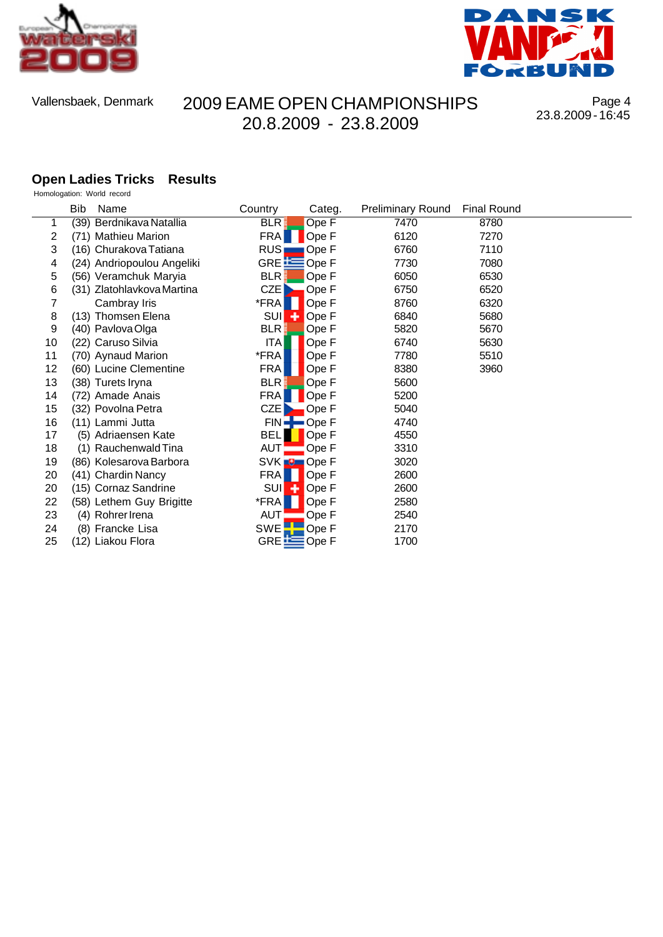



Page 4 23.8.2009 - 16:45

#### **Open Ladies Tricks Results** Homologation: World record

|    | Bib<br>Name                | Country            | Categ.               | <b>Preliminary Round</b> | <b>Final Round</b> |
|----|----------------------------|--------------------|----------------------|--------------------------|--------------------|
|    | (39) Berdnikava Natallia   | <b>BLR</b>         | OpeF                 | 7470                     | 8780               |
| 2  | (71) Mathieu Marion        | <b>FRA</b>         | Ope F                | 6120                     | 7270               |
| 3  | (16) Churakova Tatiana     | RUS <sub>I</sub>   | Ope F                | 6760                     | 7110               |
| 4  | (24) Andriopoulou Angeliki | GRE EOpe F         |                      | 7730                     | 7080               |
| 5  | (56) Veramchuk Maryia      | <b>BLR</b>         | Ope F                | 6050                     | 6530               |
| 6  | (31) Zlatohlavkova Martina | CZE                | Ope F                | 6750                     | 6520               |
| 7  | Cambray Iris               | *FRA               | Ope F                | 8760                     | 6320               |
| 8  | (13) Thomsen Elena         | <b>SUI</b>         | Ope F                | 6840                     | 5680               |
| 9  | (40) Pavlova Olga          | <b>BLR</b>         | Ope F                | 5820                     | 5670               |
| 10 | (22) Caruso Silvia         | ITA                | Ope F                | 6740                     | 5630               |
| 11 | (70) Aynaud Marion         | *FRA               | Ope F                | 7780                     | 5510               |
| 12 | (60) Lucine Clementine     | <b>FRA</b>         | Ope F                | 8380                     | 3960               |
| 13 | (38) Turets Iryna          | <b>BLR</b>         | Ope F                | 5600                     |                    |
| 14 | (72) Amade Anais           | <b>FRA</b>         | Ope F                | 5200                     |                    |
| 15 | (32) Povolna Petra         | CZE                | Ope F                | 5040                     |                    |
| 16 | (11) Lammi Jutta           | $FIN =$            | $\blacksquare$ Ope F | 4740                     |                    |
| 17 | (5) Adriaensen Kate        | <b>BELI</b>        | Ope F                | 4550                     |                    |
| 18 | (1) Rauchenwald Tina       | AUT <b>L</b>       | Ope F                | 3310                     |                    |
| 19 | (86) Kolesarova Barbora    | SVK <b>D</b> Ope F |                      | 3020                     |                    |
| 20 | (41) Chardin Nancy         | <b>FRA</b>         | Ope F                | 2600                     |                    |
| 20 | (15) Cornaz Sandrine       | <b>SUI</b>         | Ope F                | 2600                     |                    |
| 22 | (58) Lethem Guy Brigitte   | *FRA               | Ope F                | 2580                     |                    |
| 23 | (4) Rohrer Irena           | AUT                | Ope F                | 2540                     |                    |
| 24 | (8) Francke Lisa           | <b>SWE</b>         | Ope F                | 2170                     |                    |
| 25 | (12) Liakou Flora          | GRE EQpe F         |                      | 1700                     |                    |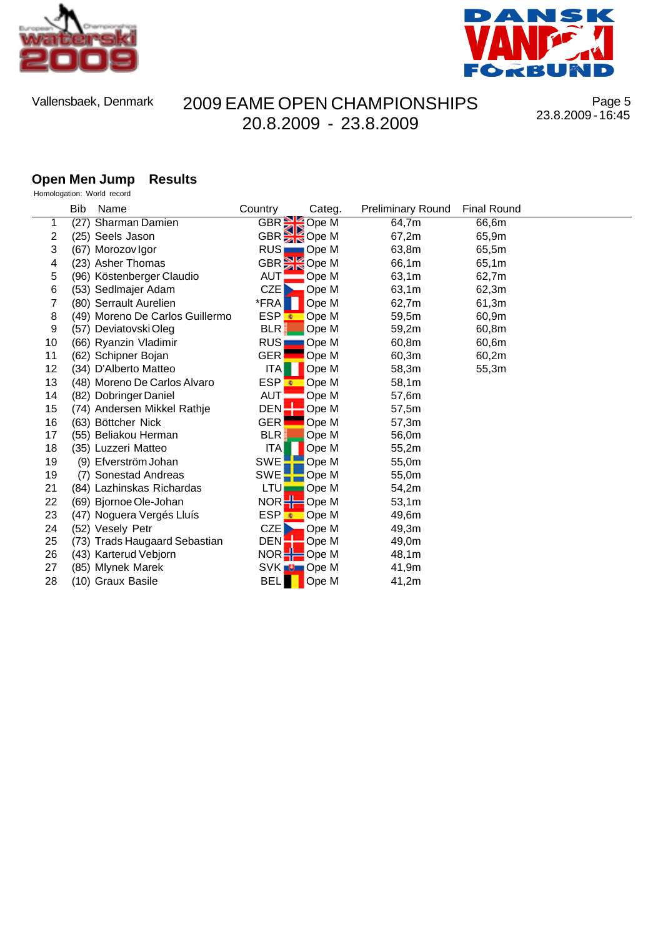



Page 5 23.8.2009 - 16:45

#### **Open Men Jump Results** Homologation: World record

|    | <b>Bib</b> | Name                            | Country                | Categ.               | <b>Preliminary Round</b> | <b>Final Round</b> |
|----|------------|---------------------------------|------------------------|----------------------|--------------------------|--------------------|
| 1  | (27)       | Sharman Damien                  | GBR SOpe M             |                      | 64,7m                    | 66,6m              |
| 2  |            | (25) Seels Jason                | GBR <sup>S</sup> Ope M |                      | 67,2m                    | 65,9m              |
| 3  |            | (67) Morozov Igor               | RUS <sub>I</sub>       | $\Box$ Ope M         | 63,8m                    | 65,5m              |
| 4  |            | (23) Asher Thomas               | GBR                    | Ope M                | 66,1m                    | 65,1m              |
| 5  |            | (96) Köstenberger Claudio       | <b>AUT</b>             | Ope M                | 63,1m                    | 62,7m              |
| 6  |            | (53) Sedlmajer Adam             | CZE                    | Ope M                | 63,1m                    | 62,3m              |
| 7  |            | (80) Serrault Aurelien          | *FRA                   | Ope M                | 62,7m                    | 61,3m              |
| 8  |            | (49) Moreno De Carlos Guillermo | ESP <sup>t</sup>       | Ope M                | 59,5m                    | 60,9m              |
| 9  |            | (57) Deviatovski Oleg           | <b>BLR</b>             | Ope M                | 59,2m                    | 60,8m              |
| 10 |            | (66) Ryanzin Vladimir           | <b>RUS</b>             | Ope M                | 60,8m                    | 60,6m              |
| 11 |            | (62) Schipner Bojan             | <b>GER</b>             | Ope M                | 60,3m                    | 60,2m              |
| 12 |            | (34) D'Alberto Matteo           | <b>ITA</b>             | Ope M                | 58,3m                    | 55,3m              |
| 13 |            | (48) Moreno De Carlos Alvaro    | ESP <sup>t</sup>       | Ope M                | 58,1m                    |                    |
| 14 |            | (82) Dobringer Daniel           | <b>AUT</b>             | Ope M                | 57,6m                    |                    |
| 15 |            | (74) Andersen Mikkel Rathje     | DEN:                   | Ope M                | 57,5m                    |                    |
| 16 |            | (63) Böttcher Nick              | <b>GER</b>             | Ope M                | 57,3m                    |                    |
| 17 |            | (55) Beliakou Herman            | <b>BLR</b>             | Ope M                | 56,0m                    |                    |
| 18 |            | (35) Luzzeri Matteo             | <b>ITA</b>             | Ope M                | 55,2m                    |                    |
| 19 |            | (9) Efverström Johan            | <b>SWE</b>             | Ope M                | 55,0m                    |                    |
| 19 |            | (7) Sonestad Andreas            | <b>SWE</b>             | Ope M                | 55,0m                    |                    |
| 21 |            | (84) Lazhinskas Richardas       | LTU                    | Ope M                | 54,2m                    |                    |
| 22 |            | (69) Bjornoe Ole-Johan          | NOR                    | $\blacksquare$ Ope M | 53,1m                    |                    |
| 23 |            | (47) Noguera Vergés Lluís       | ESP <mark>₹</mark>     | Ope M                | 49,6m                    |                    |
| 24 |            | (52) Vesely Petr                | CZE                    | Ope M                | 49,3m                    |                    |
| 25 |            | (73) Trads Haugaard Sebastian   | DEN <sup>1</sup>       | Ope M                | 49,0m                    |                    |
| 26 |            | (43) Karterud Vebjorn           | NOR                    | <mark>=</mark> Ope M | 48,1m                    |                    |
| 27 |            | (85) Mlynek Marek               | SVK <b>D</b> Ope M     |                      | 41,9m                    |                    |
| 28 |            | (10) Graux Basile               | <b>BELI</b>            | Ope M                | 41,2m                    |                    |